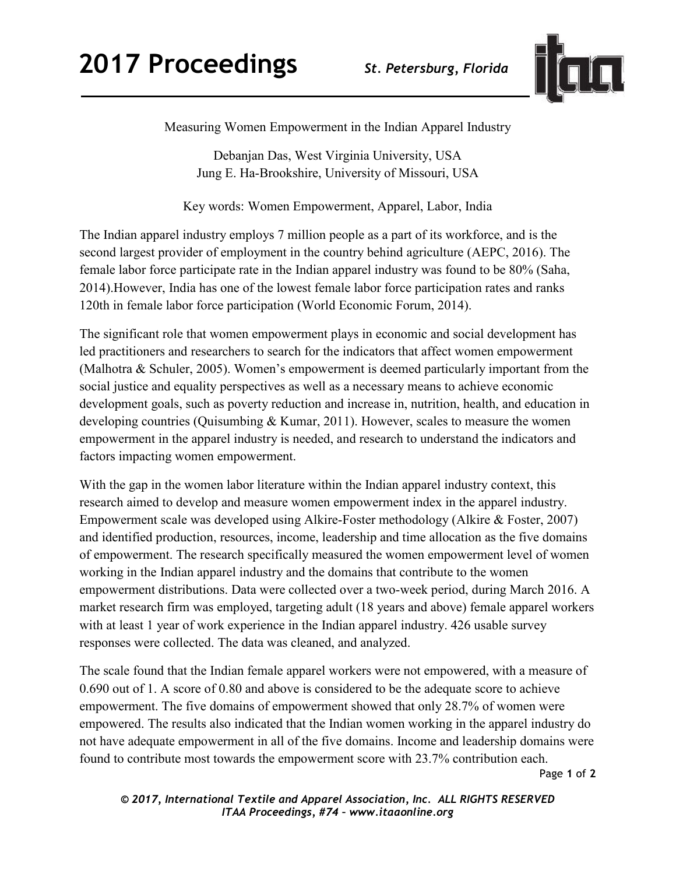

Measuring Women Empowerment in the Indian Apparel Industry

Debanjan Das, West Virginia University, USA Jung E. Ha-Brookshire, University of Missouri, USA

Key words: Women Empowerment, Apparel, Labor, India

The Indian apparel industry employs 7 million people as a part of its workforce, and is the second largest provider of employment in the country behind agriculture (AEPC, 2016). The female labor force participate rate in the Indian apparel industry was found to be 80% (Saha, 2014).However, India has one of the lowest female labor force participation rates and ranks 120th in female labor force participation (World Economic Forum, 2014).

The significant role that women empowerment plays in economic and social development has led practitioners and researchers to search for the indicators that affect women empowerment (Malhotra & Schuler, 2005). Women's empowerment is deemed particularly important from the social justice and equality perspectives as well as a necessary means to achieve economic development goals, such as poverty reduction and increase in, nutrition, health, and education in developing countries (Quisumbing & Kumar, 2011). However, scales to measure the women empowerment in the apparel industry is needed, and research to understand the indicators and factors impacting women empowerment.

With the gap in the women labor literature within the Indian apparel industry context, this research aimed to develop and measure women empowerment index in the apparel industry. Empowerment scale was developed using Alkire-Foster methodology (Alkire & Foster, 2007) and identified production, resources, income, leadership and time allocation as the five domains of empowerment. The research specifically measured the women empowerment level of women working in the Indian apparel industry and the domains that contribute to the women empowerment distributions. Data were collected over a two-week period, during March 2016. A market research firm was employed, targeting adult (18 years and above) female apparel workers with at least 1 year of work experience in the Indian apparel industry. 426 usable survey responses were collected. The data was cleaned, and analyzed.

The scale found that the Indian female apparel workers were not empowered, with a measure of 0.690 out of 1. A score of 0.80 and above is considered to be the adequate score to achieve empowerment. The five domains of empowerment showed that only 28.7% of women were empowered. The results also indicated that the Indian women working in the apparel industry do not have adequate empowerment in all of the five domains. Income and leadership domains were found to contribute most towards the empowerment score with 23.7% contribution each.

Page **1** of **2** 

*© 2017, International Textile and Apparel Association, Inc. ALL RIGHTS RESERVED ITAA Proceedings, #74 – www.itaaonline.org*